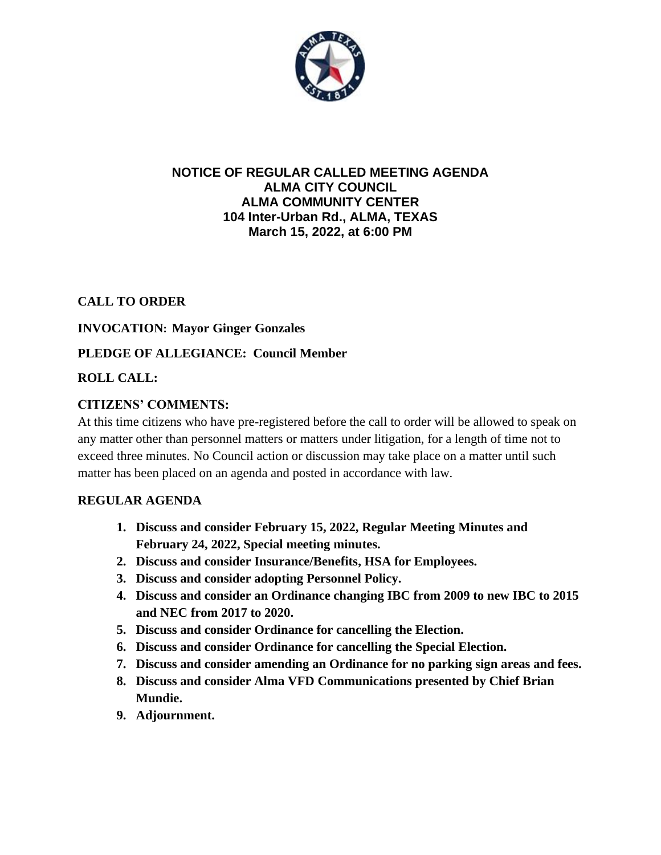

#### **NOTICE OF REGULAR CALLED MEETING AGENDA ALMA CITY COUNCIL ALMA COMMUNITY CENTER 104 Inter-Urban Rd., ALMA, TEXAS March 15, 2022, at 6:00 PM**

# **CALL TO ORDER**

#### **INVOCATION: Mayor Ginger Gonzales**

# **PLEDGE OF ALLEGIANCE: Council Member**

# **ROLL CALL:**

# **CITIZENS' COMMENTS:**

At this time citizens who have pre-registered before the call to order will be allowed to speak on any matter other than personnel matters or matters under litigation, for a length of time not to exceed three minutes. No Council action or discussion may take place on a matter until such matter has been placed on an agenda and posted in accordance with law.

#### **REGULAR AGENDA**

- **1. Discuss and consider February 15, 2022, Regular Meeting Minutes and February 24, 2022, Special meeting minutes.**
- **2. Discuss and consider Insurance/Benefits, HSA for Employees.**
- **3. Discuss and consider adopting Personnel Policy.**
- **4. Discuss and consider an Ordinance changing IBC from 2009 to new IBC to 2015 and NEC from 2017 to 2020.**
- **5. Discuss and consider Ordinance for cancelling the Election.**
- **6. Discuss and consider Ordinance for cancelling the Special Election.**
- **7. Discuss and consider amending an Ordinance for no parking sign areas and fees.**
- **8. Discuss and consider Alma VFD Communications presented by Chief Brian Mundie.**
- **9. Adjournment.**